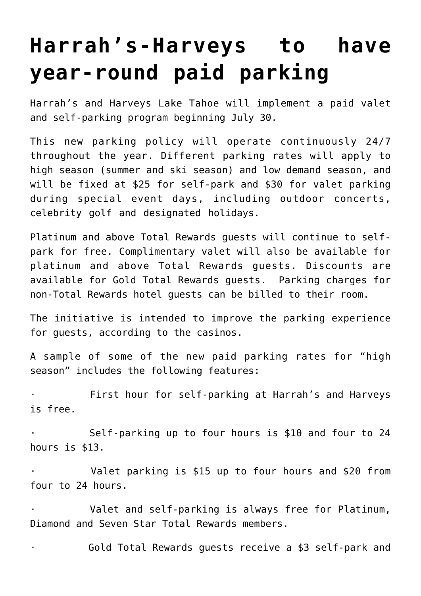## **[Harrah's-Harveys to have](https://www.laketahoenews.net/2018/07/harrahs-harveys-to-have-year-round-paid-parking/) [year-round paid parking](https://www.laketahoenews.net/2018/07/harrahs-harveys-to-have-year-round-paid-parking/)**

Harrah's and Harveys Lake Tahoe will implement a paid valet and self-parking program beginning July 30.

This new parking policy will operate continuously 24/7 throughout the year. Different parking rates will apply to high season (summer and ski season) and low demand season, and will be fixed at \$25 for self-park and \$30 for valet parking during special event days, including outdoor concerts, celebrity golf and designated holidays.

Platinum and above Total Rewards guests will continue to selfpark for free. Complimentary valet will also be available for platinum and above Total Rewards guests. Discounts are available for Gold Total Rewards guests. Parking charges for non-Total Rewards hotel guests can be billed to their room.

The initiative is intended to improve the parking experience for guests, according to the casinos.

A sample of some of the new paid parking rates for "high season" includes the following features:

First hour for self-parking at Harrah's and Harveys is free.

Self-parking up to four hours is \$10 and four to 24 hours is \$13.

Valet parking is \$15 up to four hours and \$20 from four to 24 hours.

Valet and self-parking is always free for Platinum, Diamond and Seven Star Total Rewards members.

Gold Total Rewards guests receive a \$3 self-park and